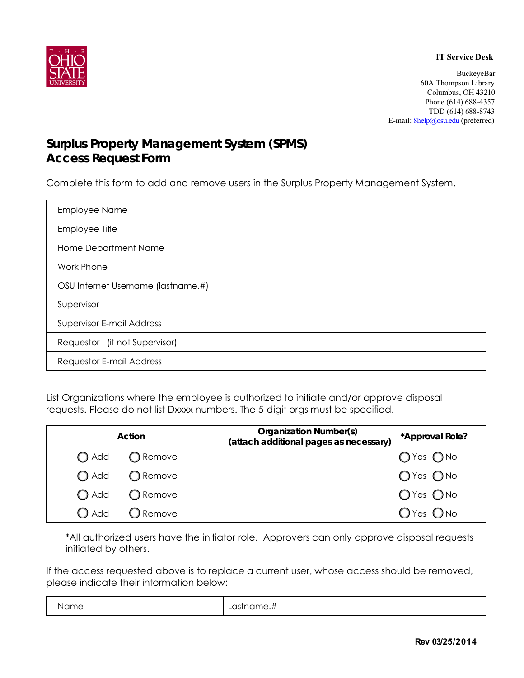



**BuckeyeBar** 60A Thompson Library Columbus, OH 43210 Phone (614) 688-4357 TDD (614) 688-8743 E-mail: 8help@osu.edu (preferred)

## **Surplus Property Management System (SPMS) Access Request Form**

Complete this form to add and remove users in the Surplus Property Management System.

| <b>Employee Name</b>               |  |
|------------------------------------|--|
| Employee Title                     |  |
| Home Department Name               |  |
| Work Phone                         |  |
| OSU Internet Username (lastname.#) |  |
| Supervisor                         |  |
| <b>Supervisor E-mail Address</b>   |  |
| Requestor (if not Supervisor)      |  |
| Requestor E-mail Address           |  |

List Organizations where the employee is authorized to initiate and/or approve disposal requests. Please do not list Dxxxx numbers. The 5-digit orgs must be specified.

| Action                              | <b>Organization Number(s)</b><br>(attach additional pages as necessary) | *Approval Role? |
|-------------------------------------|-------------------------------------------------------------------------|-----------------|
| $\bigcirc$ Add<br>◯ Remove          |                                                                         | $O$ Yes $O$ No  |
| $\bigcap$ Add<br>◯ Remove           |                                                                         | $O$ Yes $O$ No  |
| $\bigcirc$ Add<br>$\bigcirc$ Remove |                                                                         | $O$ Yes $O$ No  |
| $\bigcirc$ Add<br>$\bigcup$ Remove  |                                                                         | $O$ Yes $O$ No  |

\*All authorized users have the initiator role. Approvers can only approve disposal requests initiated by others.

If the access requested above is to replace a current user, whose access should be removed, please indicate their information below:

| Name | .<br>™e., .<br>- 10<br>$\sim$<br>الت ا<br>∟ພ⊍ |
|------|-----------------------------------------------|
|------|-----------------------------------------------|